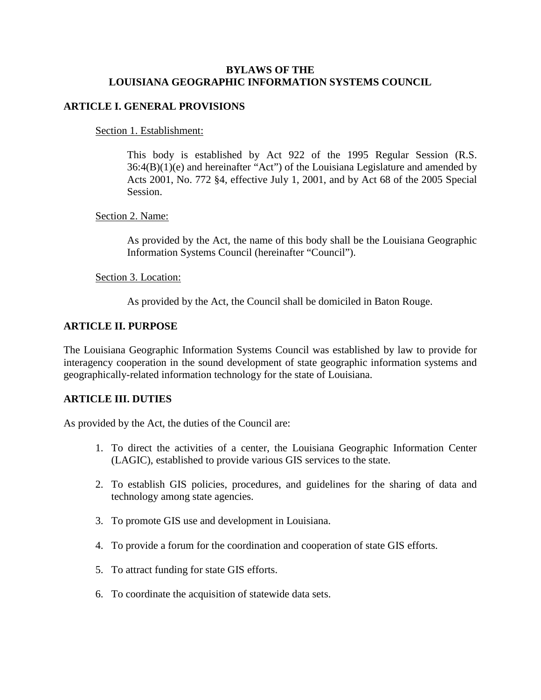### **BYLAWS OF THE LOUISIANA GEOGRAPHIC INFORMATION SYSTEMS COUNCIL**

# **ARTICLE I. GENERAL PROVISIONS**

Section 1. Establishment:

This body is established by Act 922 of the 1995 Regular Session (R.S. 36:4(B)(1)(e) and hereinafter "Act") of the Louisiana Legislature and amended by Acts 2001, No. 772 §4, effective July 1, 2001, and by Act 68 of the 2005 Special Session.

# Section 2. Name:

As provided by the Act, the name of this body shall be the Louisiana Geographic Information Systems Council (hereinafter "Council").

# Section 3. Location:

As provided by the Act, the Council shall be domiciled in Baton Rouge.

# **ARTICLE II. PURPOSE**

The Louisiana Geographic Information Systems Council was established by law to provide for interagency cooperation in the sound development of state geographic information systems and geographically-related information technology for the state of Louisiana.

### **ARTICLE III. DUTIES**

As provided by the Act, the duties of the Council are:

- 1. To direct the activities of a center, the Louisiana Geographic Information Center (LAGIC), established to provide various GIS services to the state.
- 2. To establish GIS policies, procedures, and guidelines for the sharing of data and technology among state agencies.
- 3. To promote GIS use and development in Louisiana.
- 4. To provide a forum for the coordination and cooperation of state GIS efforts.
- 5. To attract funding for state GIS efforts.
- 6. To coordinate the acquisition of statewide data sets.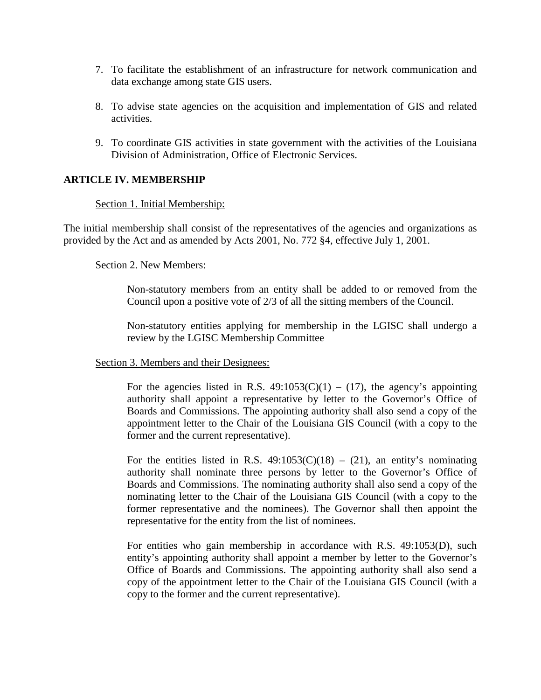- 7. To facilitate the establishment of an infrastructure for network communication and data exchange among state GIS users.
- 8. To advise state agencies on the acquisition and implementation of GIS and related activities.
- 9. To coordinate GIS activities in state government with the activities of the Louisiana Division of Administration, Office of Electronic Services.

### **ARTICLE IV. MEMBERSHIP**

#### Section 1. Initial Membership:

The initial membership shall consist of the representatives of the agencies and organizations as provided by the Act and as amended by Acts 2001, No. 772 §4, effective July 1, 2001.

#### Section 2. New Members:

Non-statutory members from an entity shall be added to or removed from the Council upon a positive vote of 2/3 of all the sitting members of the Council.

Non-statutory entities applying for membership in the LGISC shall undergo a review by the LGISC Membership Committee

### Section 3. Members and their Designees:

For the agencies listed in R.S.  $49:1053(C)(1) - (17)$ , the agency's appointing authority shall appoint a representative by letter to the Governor's Office of Boards and Commissions. The appointing authority shall also send a copy of the appointment letter to the Chair of the Louisiana GIS Council (with a copy to the former and the current representative).

For the entities listed in R.S.  $49:1053(C)(18) - (21)$ , an entity's nominating authority shall nominate three persons by letter to the Governor's Office of Boards and Commissions. The nominating authority shall also send a copy of the nominating letter to the Chair of the Louisiana GIS Council (with a copy to the former representative and the nominees). The Governor shall then appoint the representative for the entity from the list of nominees.

For entities who gain membership in accordance with R.S. 49:1053(D), such entity's appointing authority shall appoint a member by letter to the Governor's Office of Boards and Commissions. The appointing authority shall also send a copy of the appointment letter to the Chair of the Louisiana GIS Council (with a copy to the former and the current representative).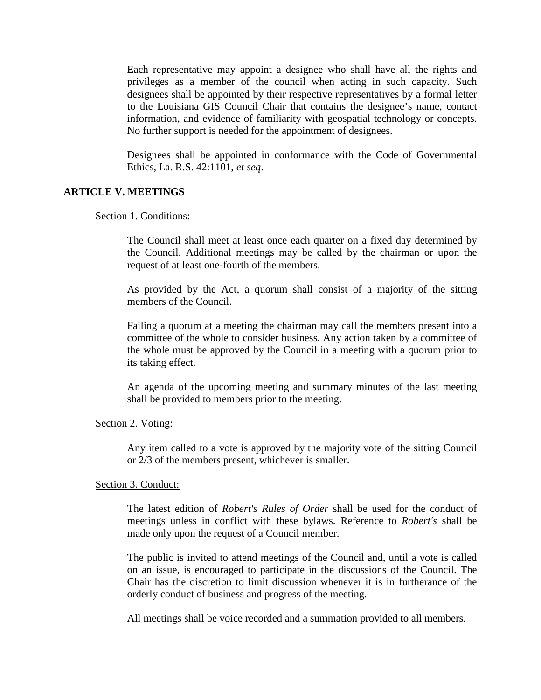Each representative may appoint a designee who shall have all the rights and privileges as a member of the council when acting in such capacity. Such designees shall be appointed by their respective representatives by a formal letter to the Louisiana GIS Council Chair that contains the designee's name, contact information, and evidence of familiarity with geospatial technology or concepts. No further support is needed for the appointment of designees.

Designees shall be appointed in conformance with the Code of Governmental Ethics, La. R.S. 42:1101, *et seq*.

#### **ARTICLE V. MEETINGS**

### Section 1. Conditions:

The Council shall meet at least once each quarter on a fixed day determined by the Council. Additional meetings may be called by the chairman or upon the request of at least one-fourth of the members.

As provided by the Act, a quorum shall consist of a majority of the sitting members of the Council.

Failing a quorum at a meeting the chairman may call the members present into a committee of the whole to consider business. Any action taken by a committee of the whole must be approved by the Council in a meeting with a quorum prior to its taking effect.

An agenda of the upcoming meeting and summary minutes of the last meeting shall be provided to members prior to the meeting.

Section 2. Voting:

Any item called to a vote is approved by the majority vote of the sitting Council or 2/3 of the members present, whichever is smaller.

Section 3. Conduct:

The latest edition of *Robert's Rules of Order* shall be used for the conduct of meetings unless in conflict with these bylaws. Reference to *Robert's* shall be made only upon the request of a Council member.

The public is invited to attend meetings of the Council and, until a vote is called on an issue, is encouraged to participate in the discussions of the Council. The Chair has the discretion to limit discussion whenever it is in furtherance of the orderly conduct of business and progress of the meeting.

All meetings shall be voice recorded and a summation provided to all members.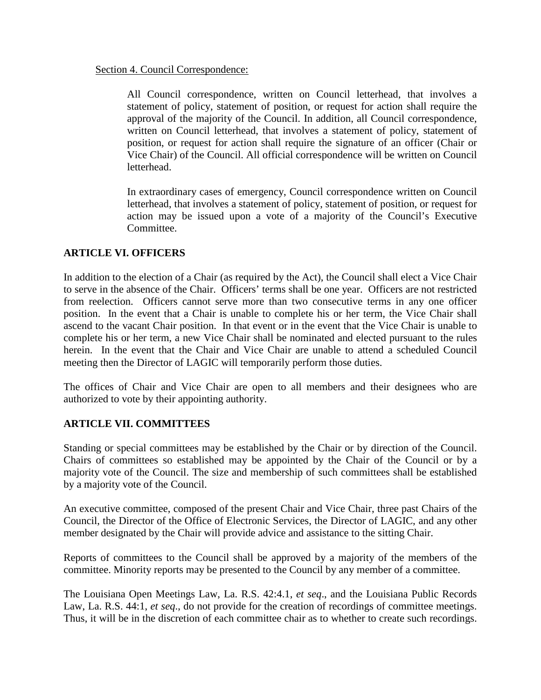#### Section 4. Council Correspondence:

All Council correspondence, written on Council letterhead, that involves a statement of policy, statement of position, or request for action shall require the approval of the majority of the Council. In addition, all Council correspondence, written on Council letterhead, that involves a statement of policy, statement of position, or request for action shall require the signature of an officer (Chair or Vice Chair) of the Council. All official correspondence will be written on Council letterhead.

In extraordinary cases of emergency, Council correspondence written on Council letterhead, that involves a statement of policy, statement of position, or request for action may be issued upon a vote of a majority of the Council's Executive Committee.

# **ARTICLE VI. OFFICERS**

In addition to the election of a Chair (as required by the Act), the Council shall elect a Vice Chair to serve in the absence of the Chair. Officers' terms shall be one year. Officers are not restricted from reelection. Officers cannot serve more than two consecutive terms in any one officer position. In the event that a Chair is unable to complete his or her term, the Vice Chair shall ascend to the vacant Chair position. In that event or in the event that the Vice Chair is unable to complete his or her term, a new Vice Chair shall be nominated and elected pursuant to the rules herein. In the event that the Chair and Vice Chair are unable to attend a scheduled Council meeting then the Director of LAGIC will temporarily perform those duties.

The offices of Chair and Vice Chair are open to all members and their designees who are authorized to vote by their appointing authority.

# **ARTICLE VII. COMMITTEES**

Standing or special committees may be established by the Chair or by direction of the Council. Chairs of committees so established may be appointed by the Chair of the Council or by a majority vote of the Council. The size and membership of such committees shall be established by a majority vote of the Council.

An executive committee, composed of the present Chair and Vice Chair, three past Chairs of the Council, the Director of the Office of Electronic Services, the Director of LAGIC, and any other member designated by the Chair will provide advice and assistance to the sitting Chair.

Reports of committees to the Council shall be approved by a majority of the members of the committee. Minority reports may be presented to the Council by any member of a committee.

The Louisiana Open Meetings Law, La. R.S. 42:4.1, *et seq*., and the Louisiana Public Records Law, La. R.S. 44:1, *et seq*., do not provide for the creation of recordings of committee meetings. Thus, it will be in the discretion of each committee chair as to whether to create such recordings.